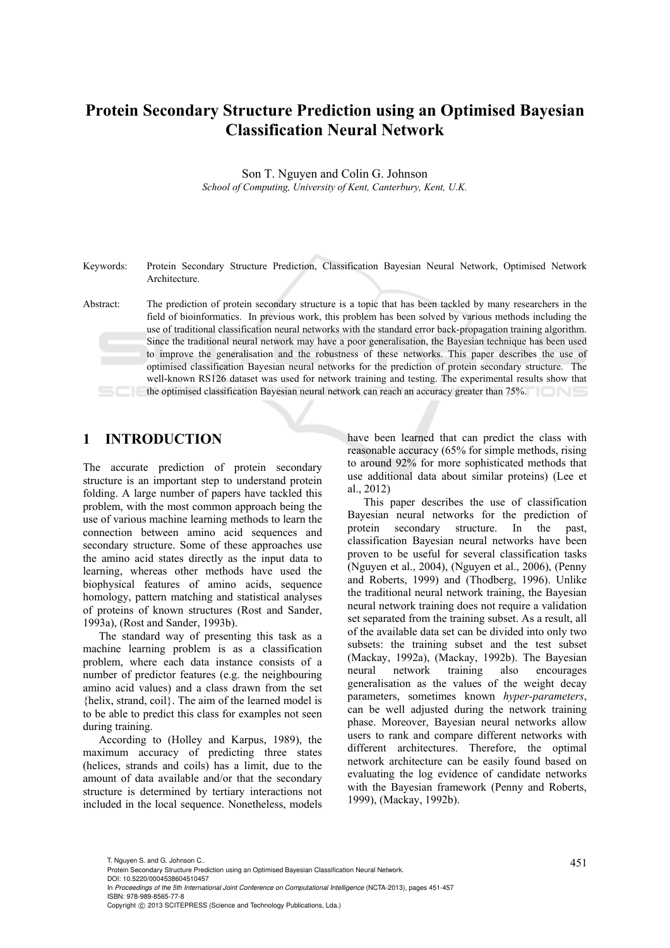# **Protein Secondary Structure Prediction using an Optimised Bayesian Classification Neural Network**

Son T. Nguyen and Colin G. Johnson *School of Computing, University of Kent, Canterbury, Kent, U.K.* 

Keywords: Protein Secondary Structure Prediction, Classification Bayesian Neural Network, Optimised Network Architecture.

Abstract: The prediction of protein secondary structure is a topic that has been tackled by many researchers in the field of bioinformatics. In previous work, this problem has been solved by various methods including the use of traditional classification neural networks with the standard error back-propagation training algorithm. Since the traditional neural network may have a poor generalisation, the Bayesian technique has been used to improve the generalisation and the robustness of these networks. This paper describes the use of optimised classification Bayesian neural networks for the prediction of protein secondary structure. The well-known RS126 dataset was used for network training and testing. The experimental results show that the optimised classification Bayesian neural network can reach an accuracy greater than 75%.

### **1 INTRODUCTION**

The accurate prediction of protein secondary structure is an important step to understand protein folding. A large number of papers have tackled this problem, with the most common approach being the use of various machine learning methods to learn the connection between amino acid sequences and secondary structure. Some of these approaches use the amino acid states directly as the input data to learning, whereas other methods have used the biophysical features of amino acids, sequence homology, pattern matching and statistical analyses of proteins of known structures (Rost and Sander, 1993a), (Rost and Sander, 1993b).

The standard way of presenting this task as a machine learning problem is as a classification problem, where each data instance consists of a number of predictor features (e.g. the neighbouring amino acid values) and a class drawn from the set {helix, strand, coil}. The aim of the learned model is to be able to predict this class for examples not seen during training.

According to (Holley and Karpus, 1989), the maximum accuracy of predicting three states (helices, strands and coils) has a limit, due to the amount of data available and/or that the secondary structure is determined by tertiary interactions not included in the local sequence. Nonetheless, models

have been learned that can predict the class with reasonable accuracy (65% for simple methods, rising to around 92% for more sophisticated methods that use additional data about similar proteins) (Lee et al., 2012)

This paper describes the use of classification Bayesian neural networks for the prediction of protein secondary structure. In the past, classification Bayesian neural networks have been proven to be useful for several classification tasks (Nguyen et al., 2004), (Nguyen et al., 2006), (Penny and Roberts, 1999) and (Thodberg, 1996). Unlike the traditional neural network training, the Bayesian neural network training does not require a validation set separated from the training subset. As a result, all of the available data set can be divided into only two subsets: the training subset and the test subset (Mackay, 1992a), (Mackay, 1992b). The Bayesian neural network training also encourages generalisation as the values of the weight decay parameters, sometimes known *hyper-parameters*, can be well adjusted during the network training phase. Moreover, Bayesian neural networks allow users to rank and compare different networks with different architectures. Therefore, the optimal network architecture can be easily found based on evaluating the log evidence of candidate networks with the Bayesian framework (Penny and Roberts, 1999), (Mackay, 1992b).

T. Nguyen S. and G. Johnson C..<br>Protein Secondary Structure Prediction using an Optimised Bayesian Classification Neural Network. DOI: 10.5220/0004538604510457

In *Proceedings of the 5th International Joint Conference on Computational Intelligence* (NCTA-2013), pages 451-457 ISBN: 978-989-8565-77-8 Copyright © 2013 SCITEPRESS (Science and Technology Publications, Lda.)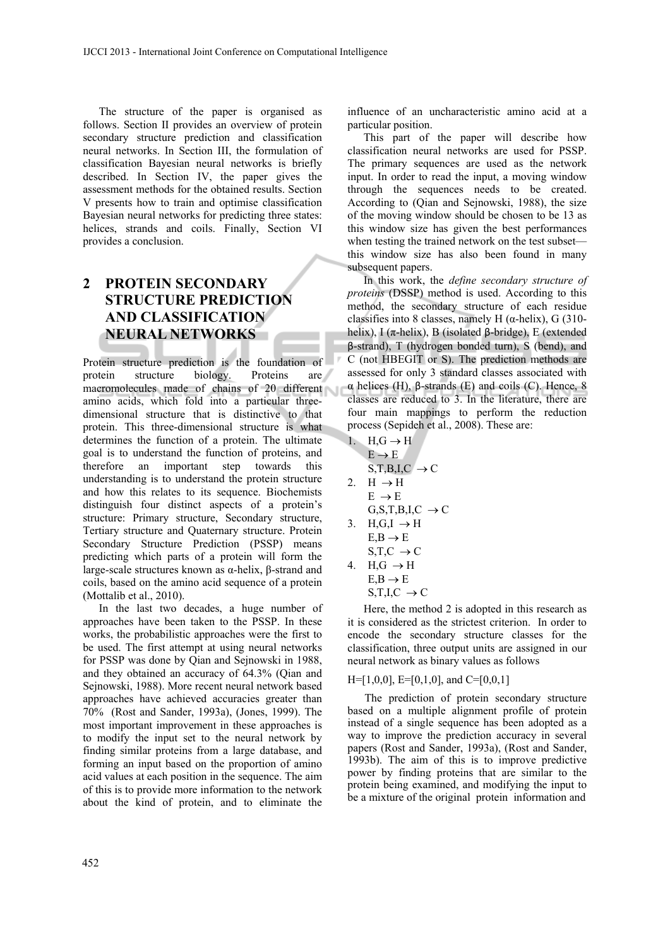The structure of the paper is organised as follows. Section II provides an overview of protein secondary structure prediction and classification neural networks. In Section III, the formulation of classification Bayesian neural networks is briefly described. In Section IV, the paper gives the assessment methods for the obtained results. Section V presents how to train and optimise classification Bayesian neural networks for predicting three states: helices, strands and coils. Finally, Section VI provides a conclusion.

## **2 PROTEIN SECONDARY STRUCTURE PREDICTION AND CLASSIFICATION NEURAL NETWORKS**

Protein structure prediction is the foundation of protein structure biology. Proteins are macromolecules made of chains of 20 different amino acids, which fold into a particular threedimensional structure that is distinctive to that protein. This three-dimensional structure is what determines the function of a protein. The ultimate goal is to understand the function of proteins, and therefore an important step towards this understanding is to understand the protein structure and how this relates to its sequence. Biochemists distinguish four distinct aspects of a protein's structure: Primary structure, Secondary structure, Tertiary structure and Quaternary structure. Protein Secondary Structure Prediction (PSSP) means predicting which parts of a protein will form the large-scale structures known as α-helix, β-strand and coils, based on the amino acid sequence of a protein (Mottalib et al., 2010).

In the last two decades, a huge number of approaches have been taken to the PSSP. In these works, the probabilistic approaches were the first to be used. The first attempt at using neural networks for PSSP was done by Qian and Sejnowski in 1988, and they obtained an accuracy of 64.3% (Qian and Sejnowski, 1988). More recent neural network based approaches have achieved accuracies greater than 70% (Rost and Sander, 1993a), (Jones, 1999). The most important improvement in these approaches is to modify the input set to the neural network by finding similar proteins from a large database, and forming an input based on the proportion of amino acid values at each position in the sequence. The aim of this is to provide more information to the network about the kind of protein, and to eliminate the

influence of an uncharacteristic amino acid at a particular position.

This part of the paper will describe how classification neural networks are used for PSSP. The primary sequences are used as the network input. In order to read the input, a moving window through the sequences needs to be created. According to (Qian and Sejnowski, 1988), the size of the moving window should be chosen to be 13 as this window size has given the best performances when testing the trained network on the test subset this window size has also been found in many subsequent papers.

In this work, the *define secondary structure of proteins* (DSSP) method is used. According to this method, the secondary structure of each residue classifies into 8 classes, namely H  $(\alpha$ -helix), G (310helix), I (π-helix), B (isolated β-bridge), E (extended β-strand), T (hydrogen bonded turn), S (bend), and C (not HBEGIT or S). The prediction methods are assessed for only 3 standard classes associated with α helices (H), β-strands (E) and coils (C). Hence, 8 classes are reduced to 3. In the literature, there are four main mappings to perform the reduction process (Sepideh et al., 2008). These are:

- 1.  $H,G \rightarrow H$  $E \rightarrow E$  $S,T,B,I,C \rightarrow C$ 2.  $H \rightarrow H$  $E \rightarrow E$
- $G, S, T, B, I, C \rightarrow C$ 3.  $H, G, I \rightarrow H$
- $E$ ,  $B \rightarrow E$  $S,T,C \rightarrow C$ 4. H, $G \rightarrow H$  $E.B \rightarrow E$ 
	- $S,T,I,C \rightarrow C$

Here, the method 2 is adopted in this research as it is considered as the strictest criterion. In order to encode the secondary structure classes for the classification, three output units are assigned in our neural network as binary values as follows

#### $H=[1,0,0], E=[0,1,0],$  and  $C=[0,0,1]$

The prediction of protein secondary structure based on a multiple alignment profile of protein instead of a single sequence has been adopted as a way to improve the prediction accuracy in several papers (Rost and Sander, 1993a), (Rost and Sander, 1993b). The aim of this is to improve predictive power by finding proteins that are similar to the protein being examined, and modifying the input to be a mixture of the original protein information and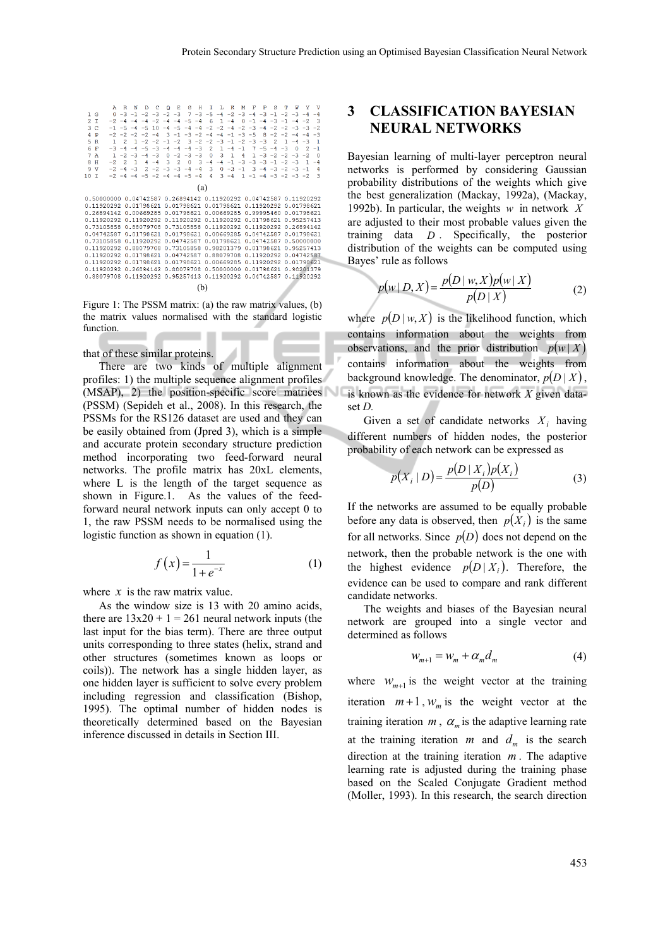|                                   |                                              | к.<br>۰.<br>н.                       | л.<br>л.<br>n.<br>m.                    | к                                                       |                                            |
|-----------------------------------|----------------------------------------------|--------------------------------------|-----------------------------------------|---------------------------------------------------------|--------------------------------------------|
| 1 <sub>G</sub>                    |                                              | $7 - 3 - 5$<br>$-3$ $-2$ $-3$        |                                         | $-4$ $-2$ $-3$ $-4$ $-3$ $-1$                           |                                            |
| 2 <sub>1</sub>                    | $-4$                                         | $-2$ $-4$ $-4$<br>$-5 -4$            | $1 - 4$<br>6<br>$\Omega$                | $-1$ $-4$ $-3$ $-1$ $-4$                                | -3<br>$-2$                                 |
| 3.<br>$\mathbf C$                 | $-5$<br>10                                   | $-5$<br>$-4$                         | $-4$ $-4$ $-2$ $-2$ $-4$ $-2$ $-3$ $-4$ |                                                         | $-2$<br>$-2$ $-2$ $-3$ $-3$                |
| 4<br>P                            | $-2$ $-2$ $-2$ $-2$<br>$-4$                  | $3 - 1$                              | $-3$ $-2$ $-4$ $-4$ $-1$ $-3$ $-5$      |                                                         | $R - 2 - 2 - 4 - 4$<br>$-3$                |
| 5<br>$\mathbb{R}$<br>$\mathbf{1}$ | $-2 -2$                                      | $-1$ $-2$                            | $3 - 2 - 2 - 3 - 1 - 2 - 3 - 3$         | $\overline{2}$                                          | $\mathbf{1}$<br>$\blacksquare$<br>$-4 - 3$ |
| 6<br>F                            | $-5 - 3$                                     | $-4 - 3$<br>$-4$<br>$-4$             | 2<br>1.<br>$-4$<br>$-1$                 | $7 - 5 - 4$                                             | $-1$<br>$-3$<br>$\Omega$<br>$\mathcal{P}$  |
| 7A<br>$\blacksquare$              | $-2$ $-3$ $-4$ $-3$                          | $-2 -3 -3$<br>$\Omega$               | $\Omega$<br>3.<br>$\mathbf{1}$<br>4     | 1.                                                      | - 0<br>$-3$ $-2$ $-2$ $-3$ $-2$            |
| 8<br>Ħ<br>$-2$                    | 2<br>$\mathbf{1}$<br>$-4$                    | 3<br>$\overline{2}$<br>$\Omega$<br>3 | $-4$ $-1$ $-3$<br>$-4$                  | $-3$ $-3$ $-1$                                          | $-2 -3$<br>1<br>$-4$                       |
| 9<br>v                            | $-2$ $-4$ $-3$ $2$ $-2$ $-3$ $-3$ $-4$ $-4$  |                                      |                                         | $3 \t 0 \t -3 \t -1 \t 3 \t -4 \t -3 \t -2 \t -3 \t -1$ | $\overline{4}$                             |
| 10<br>$\mathbf{r}$                | $-2$ $-4$ $-4$ $-5$ $-2$ $-4$ $-4$ $-5$ $-4$ |                                      | $\overline{4}$<br>$3 - 4$               | $1 - 1 - 4 - 3 - 2 - 3 - 2$                             | 3                                          |
|                                   |                                              | (a)                                  |                                         |                                                         |                                            |
| 0.50000000                        | 0.04742587                                   |                                      | 0.26894142 0.11920292 0.04742587        |                                                         | 0 11920292                                 |
| 0.11920292                        | 0.01798621                                   |                                      | 0.01798621 0.01798621                   | 0.11920292                                              | 0.01798621                                 |
| 0 26894142                        | 0.00669285                                   |                                      | 0.01798621 0.00669285                   | 0 99995460                                              | 0.01798621                                 |
| 0.11920292                        | 0.11920292                                   | 0.11920292 0.11920292                |                                         | 0.01798621                                              | 0.95257413                                 |
| 0.73105858                        | 0.88079708                                   | 0.73105858 0.11920292                |                                         | 0.11920292                                              | 0.26894142                                 |
| 0.04742587                        | 0.01798621                                   | 0.01798621                           | 0.00669285                              | 0.04742587                                              | 0.01798621                                 |
| 0.73105858                        | 0.11920292                                   | 0.04742587                           | 0.01798621                              | 0.04742587                                              | 0.50000000                                 |
| 0.11920292                        | 0.88079708                                   | 0.73105858 0.98201379                |                                         | 0.01798621                                              | 0 95257413                                 |
| 0.11920292                        | 0.01798621                                   | 0.04742587 0.88079708                |                                         | 0.11920292                                              | 0.04742587                                 |
| 0 11920292                        | 0.01798621                                   | 0.01798621                           | 0.00669285                              | 0.11920292                                              | 0 01798621                                 |
| 0.11920292                        | 0.26894142                                   | 0.88079708                           | 0.50000000                              | 0.01798621                                              | 0.98201379                                 |
| 0.88079708                        | 0.11920292                                   |                                      | 0.95257413 0.11920292 0.04742587        |                                                         | 0.11920292                                 |
|                                   |                                              | (b)                                  |                                         |                                                         |                                            |

Figure 1: The PSSM matrix: (a) the raw matrix values, (b) the matrix values normalised with the standard logistic function.

#### that of these similar proteins.

There are two kinds of multiple alignment profiles: 1) the multiple sequence alignment profiles (MSAP), 2) the position-specific score matrices (PSSM) (Sepideh et al., 2008). In this research, the PSSMs for the RS126 dataset are used and they can be easily obtained from (Jpred 3), which is a simple and accurate protein secondary structure prediction method incorporating two feed-forward neural networks. The profile matrix has 20xL elements, where L is the length of the target sequence as shown in Figure.1. As the values of the feedforward neural network inputs can only accept 0 to 1, the raw PSSM needs to be normalised using the logistic function as shown in equation (1).

$$
f(x) = \frac{1}{1 + e^{-x}}
$$
 (1)

where  $x$  is the raw matrix value.

As the window size is 13 with 20 amino acids, there are  $13x20 + 1 = 261$  neural network inputs (the last input for the bias term). There are three output units corresponding to three states (helix, strand and other structures (sometimes known as loops or coils)). The network has a single hidden layer, as one hidden layer is sufficient to solve every problem including regression and classification (Bishop, 1995). The optimal number of hidden nodes is theoretically determined based on the Bayesian inference discussed in details in Section III.

### **3 CLASSIFICATION BAYESIAN NEURAL NETWORKS**

Bayesian learning of multi-layer perceptron neural networks is performed by considering Gaussian probability distributions of the weights which give the best generalization (Mackay, 1992a), (Mackay, 1992b). In particular, the weights *w* in network *X* are adjusted to their most probable values given the training data *D* . Specifically, the posterior distribution of the weights can be computed using Bayes' rule as follows

$$
p(w | D, X) = \frac{p(D | w, X)p(w | X)}{p(D | X)}
$$
 (2)

where  $p(D | w, X)$  is the likelihood function, which contains information about the weights from observations, and the prior distribution  $p(w|X)$ contains information about the weights from background knowledge. The denominator,  $p(D|X)$ , is known as the evidence for network *X* given dataset *D.* 

Given a set of candidate networks  $X_i$  having different numbers of hidden nodes, the posterior probability of each network can be expressed as

$$
p(X_i | D) = \frac{p(D | X_i)p(X_i)}{p(D)}
$$
 (3)

If the networks are assumed to be equally probable before any data is observed, then  $p(X_i)$  is the same for all networks. Since  $p(D)$  does not depend on the network, then the probable network is the one with the highest evidence  $p(D|X_i)$ . Therefore, the evidence can be used to compare and rank different candidate networks.

The weights and biases of the Bayesian neural network are grouped into a single vector and determined as follows

$$
W_{m+1} = W_m + \alpha_m d_m \tag{4}
$$

where  $W_{m+1}$  is the weight vector at the training iteration  $m+1$ ,  $W_m$  is the weight vector at the training iteration  $m$ ,  $\alpha_m$  is the adaptive learning rate at the training iteration *m* and  $d_m$  is the search direction at the training iteration *m* . The adaptive learning rate is adjusted during the training phase based on the Scaled Conjugate Gradient method (Moller, 1993). In this research, the search direction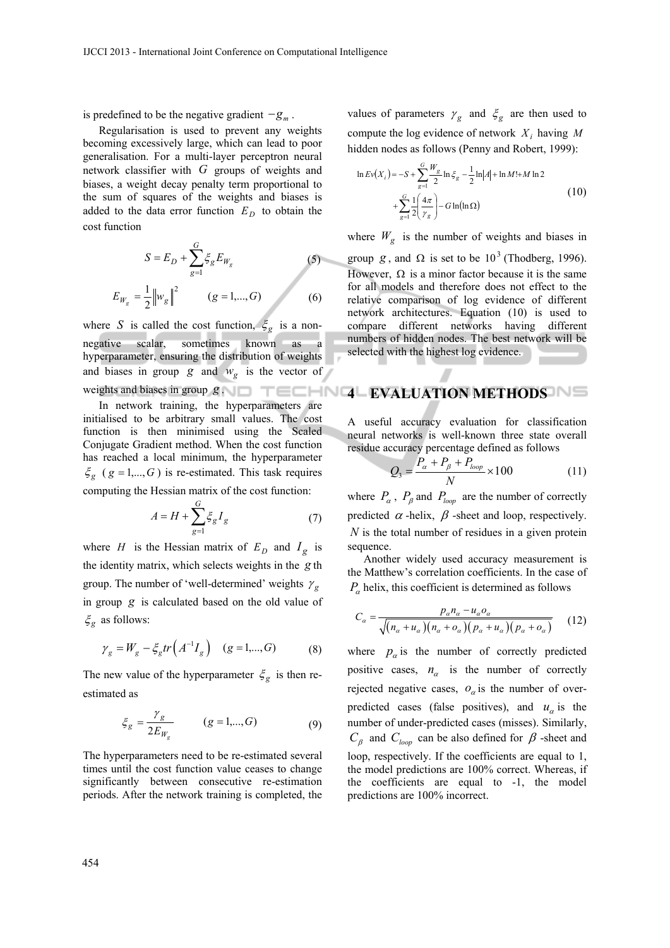is predefined to be the negative gradient  $-g_m$ .

Regularisation is used to prevent any weights becoming excessively large, which can lead to poor generalisation. For a multi-layer perceptron neural network classifier with *G* groups of weights and biases, a weight decay penalty term proportional to the sum of squares of the weights and biases is added to the data error function  $E_D$  to obtain the cost function

$$
S = E_D + \sum_{g=1}^{G} \xi_g E_{W_g}
$$
 (5)  

$$
E_{W_g} = \frac{1}{2} ||w_g||^2
$$
 (g = 1,..., G) (6)

where *S* is called the cost function,  $\xi_g$  is a nonnegative scalar, sometimes known as a hyperparameter, ensuring the distribution of weights and biases in group  $g$  and  $w_g$  is the vector of

In network training, the hyperparameters are initialised to be arbitrary small values. The cost function is then minimised using the Scaled Conjugate Gradient method. When the cost function has reached a local minimum, the hyperparameter  $\zeta_g$  (*g* = 1,..., *G*) is re-estimated. This task requires

computing the Hessian matrix of the cost function:

$$
A = H + \sum_{g=1}^{G} \xi_g I_g \tag{7}
$$

where *H* is the Hessian matrix of  $E_D$  and  $I_g$  is the identity matrix, which selects weights in the *g* th group. The number of 'well-determined' weights  $\gamma_g$ in group *g* is calculated based on the old value of  $\zeta_g$  as follows:

$$
\gamma_g = W_g - \xi_g tr(A^{-1}I_g)
$$
  $(g = 1,...,G)$  (8)

The new value of the hyperparameter  $\zeta_g$  is then reestimated as

$$
\xi_g = \frac{\gamma_g}{2E_{W_g}} \qquad (g = 1, ..., G) \tag{9}
$$

The hyperparameters need to be re-estimated several times until the cost function value ceases to change significantly between consecutive re-estimation periods. After the network training is completed, the values of parameters  $\gamma_g$  and  $\xi_g$  are then used to compute the log evidence of network *Xi* having *M* hidden nodes as follows (Penny and Robert, 1999):

$$
\ln Ev(X_i) = -S + \sum_{g=1}^{G} \frac{W_g}{2} \ln \xi_g - \frac{1}{2} \ln |A| + \ln M! + M \ln 2
$$
  
+ 
$$
\sum_{g=1}^{G} \frac{1}{2} \left( \frac{4\pi}{\gamma_g} \right) - G \ln(\ln \Omega)
$$
 (10)

where  $W_g$  is the number of weights and biases in group *g*, and  $\Omega$  is set to be 10<sup>3</sup> (Thodberg, 1996). However,  $\Omega$  is a minor factor because it is the same for all models and therefore does not effect to the relative comparison of log evidence of different network architectures. Equation (10) is used to compare different networks having different numbers of hidden nodes. The best network will be

# weights and biases in group  $g \sim \Box$  **TECHN4LEVALUATION METHODS**

selected with the highest log evidence.

A useful accuracy evaluation for classification neural networks is well-known three state overall residue accuracy percentage defined as follows

$$
Q_3 = \frac{P_a + P_\beta + P_{loop}}{N} \times 100\tag{11}
$$

where  $P_{\alpha}$ ,  $P_{\beta}$  and  $P_{loop}$  are the number of correctly predicted  $\alpha$ -helix,  $\beta$ -sheet and loop, respectively. *N* is the total number of residues in a given protein sequence.

Another widely used accuracy measurement is the Matthew's correlation coefficients. In the case of  $P_{\alpha}$  helix, this coefficient is determined as follows

$$
C_{\alpha} = \frac{p_{\alpha}n_{\alpha} - u_{\alpha}o_{\alpha}}{\sqrt{(n_{\alpha} + u_{\alpha})(n_{\alpha} + o_{\alpha})(p_{\alpha} + u_{\alpha})(p_{\alpha} + o_{\alpha})}}
$$
(12)

where  $p_{\alpha}$  is the number of correctly predicted positive cases,  $n_a$  is the number of correctly rejected negative cases,  $o_{\alpha}$  is the number of overpredicted cases (false positives), and  $u_{\alpha}$  is the number of under-predicted cases (misses). Similarly,  $C_{\beta}$  and  $C_{loop}$  can be also defined for  $\beta$ -sheet and loop, respectively. If the coefficients are equal to 1, the model predictions are 100% correct. Whereas, if the coefficients are equal to -1, the model predictions are 100% incorrect.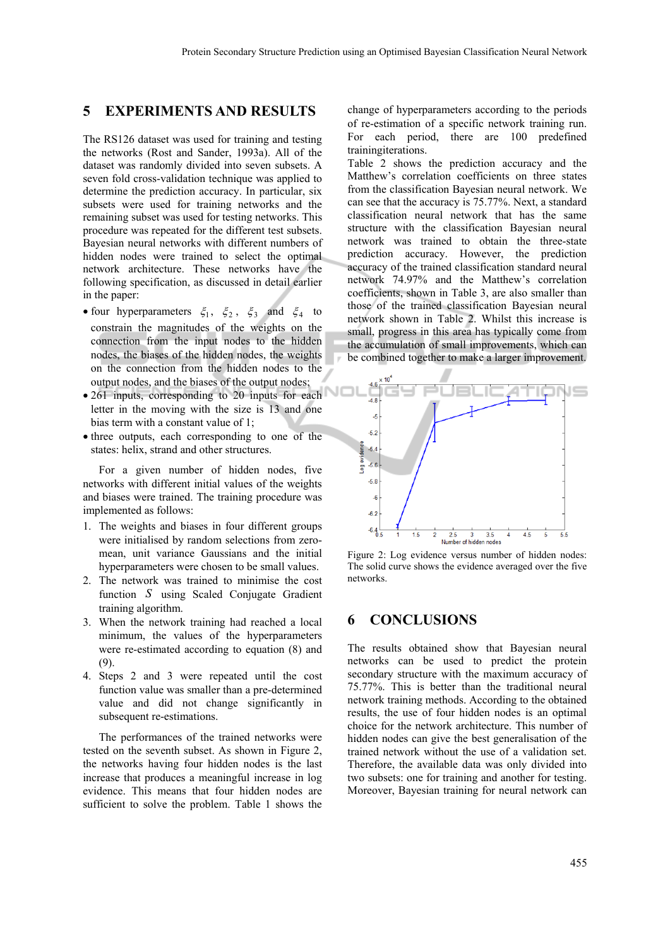#### **5 EXPERIMENTS AND RESULTS**

The RS126 dataset was used for training and testing the networks (Rost and Sander, 1993a). All of the dataset was randomly divided into seven subsets. A seven fold cross-validation technique was applied to determine the prediction accuracy. In particular, six subsets were used for training networks and the remaining subset was used for testing networks. This procedure was repeated for the different test subsets. Bayesian neural networks with different numbers of hidden nodes were trained to select the optimal network architecture. These networks have the following specification, as discussed in detail earlier in the paper:

- four hyperparameters  $\xi_1$ ,  $\xi_2$ ,  $\xi_3$  and  $\xi_4$  to constrain the magnitudes of the weights on the connection from the input nodes to the hidden nodes, the biases of the hidden nodes, the weights on the connection from the hidden nodes to the output nodes, and the biases of the output nodes;
- 261 inputs, corresponding to 20 inputs for each letter in the moving with the size is 13 and one bias term with a constant value of 1;
- three outputs, each corresponding to one of the states: helix, strand and other structures.

For a given number of hidden nodes, five networks with different initial values of the weights and biases were trained. The training procedure was implemented as follows:

- 1. The weights and biases in four different groups were initialised by random selections from zeromean, unit variance Gaussians and the initial hyperparameters were chosen to be small values.
- 2. The network was trained to minimise the cost function *S* using Scaled Conjugate Gradient training algorithm.
- 3. When the network training had reached a local minimum, the values of the hyperparameters were re-estimated according to equation (8) and (9).
- 4. Steps 2 and 3 were repeated until the cost function value was smaller than a pre-determined value and did not change significantly in subsequent re-estimations.

The performances of the trained networks were tested on the seventh subset. As shown in Figure 2, the networks having four hidden nodes is the last increase that produces a meaningful increase in log evidence. This means that four hidden nodes are sufficient to solve the problem. Table 1 shows the

change of hyperparameters according to the periods of re-estimation of a specific network training run. For each period, there are 100 predefined trainingiterations.

Table 2 shows the prediction accuracy and the Matthew's correlation coefficients on three states from the classification Bayesian neural network. We can see that the accuracy is 75.77%. Next, a standard classification neural network that has the same structure with the classification Bayesian neural network was trained to obtain the three-state prediction accuracy. However, the prediction accuracy of the trained classification standard neural network 74.97% and the Matthew's correlation coefficients, shown in Table 3, are also smaller than those of the trained classification Bayesian neural network shown in Table 2. Whilst this increase is small, progress in this area has typically come from the accumulation of small improvements, which can be combined together to make a larger improvement.



Figure 2: Log evidence versus number of hidden nodes: The solid curve shows the evidence averaged over the five networks.

#### **6 CONCLUSIONS**

The results obtained show that Bayesian neural networks can be used to predict the protein secondary structure with the maximum accuracy of 75.77%. This is better than the traditional neural network training methods. According to the obtained results, the use of four hidden nodes is an optimal choice for the network architecture. This number of hidden nodes can give the best generalisation of the trained network without the use of a validation set. Therefore, the available data was only divided into two subsets: one for training and another for testing. Moreover, Bayesian training for neural network can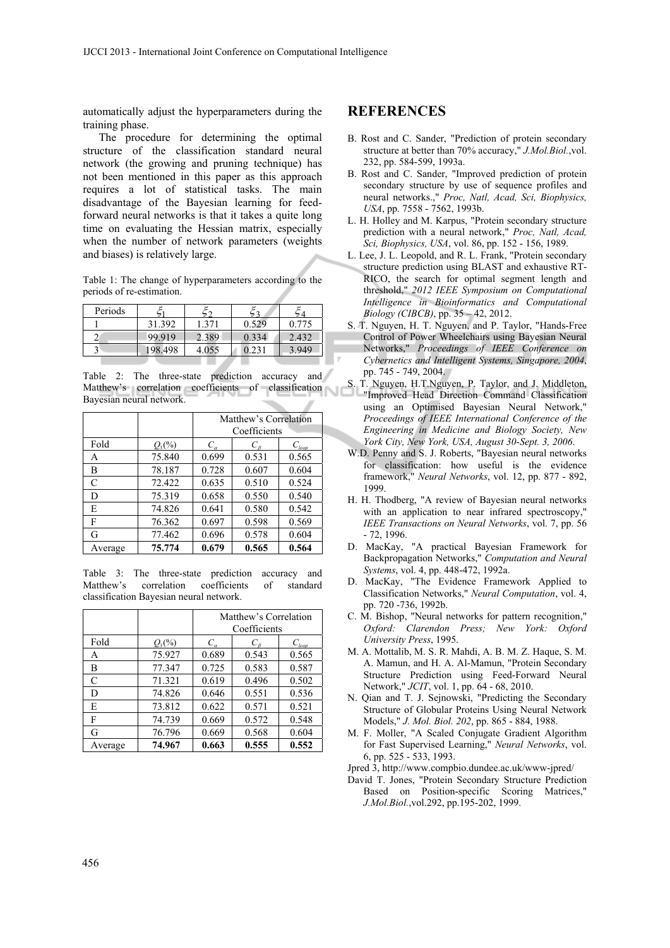automatically adjust the hyperparameters during the training phase.

The procedure for determining the optimal structure of the classification standard neural network (the growing and pruning technique) has not been mentioned in this paper as this approach requires a lot of statistical tasks. The main disadvantage of the Bayesian learning for feedforward neural networks is that it takes a quite long time on evaluating the Hessian matrix, especially when the number of network parameters (weights and biases) is relatively large.

Table 1: The change of hyperparameters according to the periods of re-estimation.

| Periods |         |       |       |                    |
|---------|---------|-------|-------|--------------------|
|         | 31.392  | 1.371 | 0.529 | 0.775              |
|         | 99.919  | 2.389 | 0.334 | 2.432              |
|         | 198.498 | 4.055 | .231  | $Q_{\mathcal{A}}Q$ |

Table 2: The three-state prediction accuracy and Matthew's correlation coefficients of classification Bayesian neural network.

|         |             | Matthew's Correlation |             |                   |
|---------|-------------|-----------------------|-------------|-------------------|
|         |             | Coefficients          |             |                   |
| Fold    | $Q_{3}$ (%) | $C_{\alpha}$          | $C_{\beta}$ | $C_{\text{loop}}$ |
| A       | 75.840      | 0.699                 | 0.531       | 0.565             |
| В       | 78.187      | 0.728                 | 0.607       | 0.604             |
| C       | 72.422      | 0.635                 | 0.510       | 0.524             |
| D       | 75.319      | 0.658                 | 0.550       | 0.540             |
| E       | 74.826      | 0.641                 | 0.580       | 0.542             |
| F       | 76.362      | 0.697                 | 0.598       | 0.569             |
| G       | 77.462      | 0.696                 | 0.578       | 0.604             |
| Average | 75.774      | 0.679                 | 0.565       | 0.564             |

Table 3: The three-state prediction accuracy and Matthew's correlation coefficients of standard classification Bayesian neural network.

|         |                      | Matthew's Correlation<br>Coefficients |                            |                                 |
|---------|----------------------|---------------------------------------|----------------------------|---------------------------------|
| Fold    | $Q_3(^{0}\!\!/\!_0)$ | $C_{\alpha}$                          | $C_{\scriptscriptstyle R}$ | $C_{\underline{\textit{loop}}}$ |
| A       | 75.927               | 0.689                                 | 0.543                      | 0.565                           |
| В       | 77.347               | 0.725                                 | 0.583                      | 0.587                           |
| C       | 71.321               | 0.619                                 | 0.496                      | 0.502                           |
| D       | 74.826               | 0.646                                 | 0.551                      | 0.536                           |
| E       | 73.812               | 0.622                                 | 0.571                      | 0.521                           |
| F       | 74.739               | 0.669                                 | 0.572                      | 0.548                           |
| G       | 76.796               | 0.669                                 | 0.568                      | 0.604                           |
| Average | 74.967               | 0.663                                 | 0.555                      | 0.552                           |

#### **REFERENCES**

- B. Rost and C. Sander, "Prediction of protein secondary structure at better than 70% accuracy," *J.Mol.Biol.*,vol. 232, pp. 584-599, 1993a.
- B. Rost and C. Sander, "Improved prediction of protein secondary structure by use of sequence profiles and neural networks.," *Proc, Natl, Acad, Sci, Biophysics, USA*, pp. 7558 - 7562, 1993b.
- L. H. Holley and M. Karpus, "Protein secondary structure prediction with a neural network," *Proc, Natl, Acad, Sci, Biophysics, USA*, vol. 86, pp. 152 - 156, 1989.
- L. Lee, J. L. Leopold, and R. L. Frank, "Protein secondary structure prediction using BLAST and exhaustive RT-RICO, the search for optimal segment length and threshold," *2012 IEEE Symposium on Computational Intelligence in Bioinformatics and Computational Biology (CIBCB)*, pp. 35 – 42, 2012.
- S. T. Nguyen, H. T. Nguyen, and P. Taylor, "Hands-Free Control of Power Wheelchairs using Bayesian Neural Networks," *Proceedings of IEEE Conference on Cybernetics and Intelligent Systems, Singapore, 2004*, pp. 745 - 749, 2004.
- T. Nguyen, H.T.Nguyen, P. Taylor, and J. Middleton, "Improved Head Direction Command Classification using an Optimised Bayesian Neural Network," *Proceedings of IEEE International Conference of the Engineering in Medicine and Biology Society, New York City, New York, USA, August 30-Sept. 3, 2006*.
- W.D. Penny and S. J. Roberts, "Bayesian neural networks for classification: how useful is the evidence framework," *Neural Networks*, vol. 12, pp. 877 - 892, 1999.
- H. H. Thodberg, "A review of Bayesian neural networks with an application to near infrared spectroscopy," *IEEE Transactions on Neural Networks*, vol. 7, pp. 56 - 72, 1996.
- D. MacKay, "A practical Bayesian Framework for Backpropagation Networks," *Computation and Neural Systems*, vol. 4, pp. 448-472, 1992a.
- D. MacKay, "The Evidence Framework Applied to Classification Networks," *Neural Computation*, vol. 4, pp. 720 -736, 1992b.
- C. M. Bishop, "Neural networks for pattern recognition," *Oxford: Clarendon Press; New York: Oxford University Press*, 1995.
- M. A. Mottalib, M. S. R. Mahdi, A. B. M. Z. Haque, S. M. A. Mamun, and H. A. Al-Mamun, "Protein Secondary Structure Prediction using Feed-Forward Neural Network," *JCIT*, vol. 1, pp. 64 - 68, 2010.
- N. Qian and T. J. Sejnowski, "Predicting the Secondary Structure of Globular Proteins Using Neural Network Models," *J. Mol. Biol. 202*, pp. 865 - 884, 1988.
- M. F. Moller, "A Scaled Conjugate Gradient Algorithm for Fast Supervised Learning," *Neural Networks*, vol. 6, pp. 525 - 533, 1993.

Jpred 3, http://www.compbio.dundee.ac.uk/www-jpred/

David T. Jones, "Protein Secondary Structure Prediction Based on Position-specific Scoring Matrices," *J.Mol.Biol.*,vol.292, pp.195-202, 1999.